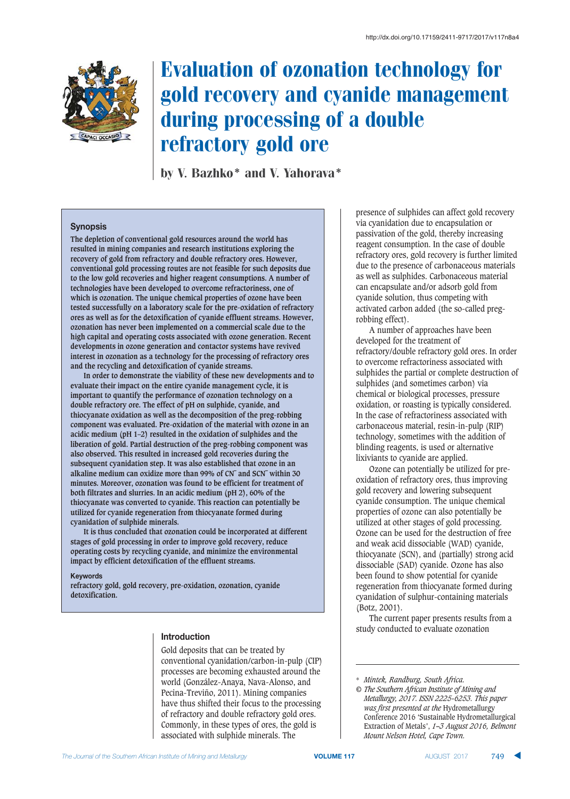

# Evaluation of ozonation technology for gold recovery and cyanide management during processing of a double refractory gold ore

by V. Bazhko\* and V. Yahorava\*

# **Synopsis**

**The depletion of conventional gold resources around the world has resulted in mining companies and research institutions exploring the recovery of gold from refractory and double refractory ores. However, conventional gold processing routes are not feasible for such deposits due to the low gold recoveries and higher reagent consumptions. A number of technologies have been developed to overcome refractoriness, one of which is ozonation. The unique chemical properties of ozone have been tested successfully on a laboratory scale for the pre-oxidation of refractory ores as well as for the detoxification of cyanide effluent streams. However, ozonation has never been implemented on a commercial scale due to the high capital and operating costs associated with ozone generation. Recent developments in ozone generation and contactor systems have revived interest in ozonation as a technology for the processing of refractory ores and the recycling and detoxification of cyanide streams.** 

**In order to demonstrate the viability of these new developments and to evaluate their impact on the entire cyanide management cycle, it is important to quantify the performance of ozonation technology on a double refractory ore. The effect of pH on sulphide, cyanide, and thiocyanate oxidation as well as the decomposition of the preg-robbing component was evaluated. Pre-oxidation of the material with ozone in an acidic medium (pH 1–2) resulted in the oxidation of sulphides and the liberation of gold. Partial destruction of the preg-robbing component was also observed. This resulted in increased gold recoveries during the subsequent cyanidation step. It was also established that ozone in an alkaline medium can oxidize more than 99% of CN¯ and SCN¯ within 30 minutes. Moreover, ozonation was found to be efficient for treatment of both filtrates and slurries. In an acidic medium (pH 2), 60% of the thiocyanate was converted to cyanide. This reaction can potentially be utilized for cyanide regeneration from thiocyanate formed during cyanidation of sulphide minerals.** 

**It is thus concluded that ozonation could be incorporated at different stages of gold processing in order to improve gold recovery, reduce operating costs by recycling cyanide, and minimize the environmental impact by efficient detoxification of the effluent streams.** 

#### **Keywords**

**refractory gold, gold recovery, pre-oxidation, ozonation, cyanide detoxification.**

#### **Introduction**

Gold deposits that can be treated by conventional cyanidation/carbon-in-pulp (CIP) processes are becoming exhausted around the world (González-Anaya, Nava-Alonso, and Pecina-Treviño, 2011). Mining companies have thus shifted their focus to the processing of refractory and double refractory gold ores. Commonly, in these types of ores, the gold is associated with sulphide minerals. The

presence of sulphides can affect gold recovery via cyanidation due to encapsulation or passivation of the gold, thereby increasing reagent consumption. In the case of double refractory ores, gold recovery is further limited due to the presence of carbonaceous materials as well as sulphides. Carbonaceous material can encapsulate and/or adsorb gold from cyanide solution, thus competing with activated carbon added (the so-called pregrobbing effect).

A number of approaches have been developed for the treatment of refractory/double refractory gold ores. In order to overcome refractoriness associated with sulphides the partial or complete destruction of sulphides (and sometimes carbon) via chemical or biological processes, pressure oxidation, or roasting is typically considered. In the case of refractoriness associated with carbonaceous material, resin-in-pulp (RIP) technology, sometimes with the addition of blinding reagents, is used or alternative lixiviants to cyanide are applied.

Ozone can potentially be utilized for preoxidation of refractory ores, thus improving gold recovery and lowering subsequent cyanide consumption. The unique chemical properties of ozone can also potentially be utilized at other stages of gold processing. Ozone can be used for the destruction of free and weak acid dissociable (WAD) cyanide, thiocyanate (SCN), and (partially) strong acid dissociable (SAD) cyanide. Ozone has also been found to show potential for cyanide regeneration from thiocyanate formed during cyanidation of sulphur-containing materials (Botz, 2001).

The current paper presents results from a study conducted to evaluate ozonation

<sup>\*</sup> *Mintek, Randburg, South Africa.*

*<sup>©</sup> The Southern African Institute of Mining and Metallurgy, 2017. ISSN 2225-6253. This paper was first presented at the* Hydrometallurgy Conference 2016 'Sustainable Hydrometallurgical Extraction of Metals', *1–3 August 2016, Belmont Mount Nelson Hotel, Cape Town.*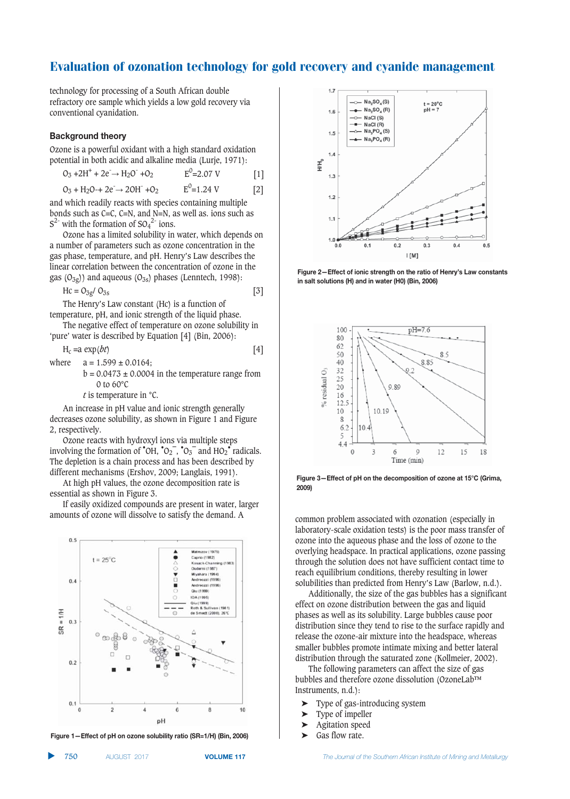technology for processing of a South African double refractory ore sample which yields a low gold recovery via conventional cyanidation.

#### **Background theory**

Ozone is a powerful oxidant with a high standard oxidation potential in both acidic and alkaline media (Lurje, 1971):

$$
O_3 + 2H^+ + 2e^- \to H_2O^- + O_2
$$
  
\n
$$
O_3 + H_2O \to 2e^- \to 2OH^- + O_2
$$
  
\n
$$
E^0 = 2.07 \text{ V}
$$
  
\n
$$
E^0 = 1.24 \text{ V}
$$
  
\n[1]

and which readily reacts with species containing multiple bonds such as C=C, C=N, and N=N, as well as. ions such as  $S^{2}$  with the formation of  $SO_4^{2}$  ions.

Ozone has a limited solubility in water, which depends on a number of parameters such as ozone concentration in the gas phase, temperature, and pH. Henry's Law describes the linear correlation between the concentration of ozone in the gas  $(O_{3g})$ ) and aqueous  $(O_{3s})$  phases (Lenntech, 1998):

$$
Hc = O_{3g}/O_{3s}
$$
 [3]

The Henry's Law constant (Hc) is a function of temperature, pH, and ionic strength of the liquid phase.

The negative effect of temperature on ozone solubility in 'pure' water is described by Equation [4] (Bin, 2006):

 $H_c = a \exp(bt)$  [4] where  $a = 1.599 \pm 0.0164$ :  $b = 0.0473 \pm 0.0004$  in the temperature range from

0 to 60°C

*t* is temperature in °C.

An increase in pH value and ionic strength generally decreases ozone solubility, as shown in Figure 1 and Figure 2, respectively.

Ozone reacts with hydroxyl ions via multiple steps involving the formation of  $\text{O}_{H}$ ,  $\text{O}_{2}^{-}$ ,  $\text{O}_{3}^{-}$  and HO<sub>2</sub> $\text{O}_{2}$  radicals. The depletion is a chain process and has been described by different mechanisms (Ershov, 2009; Langlais, 1991).

At high pH values, the ozone decomposition rate is essential as shown in Figure 3.

If easily oxidized compounds are present in water, larger amounts of ozone will dissolve to satisfy the demand. A common problem associated with ozonation (especially in



Figure 1-Effect of pH on ozone solubility ratio (SR=1/H) (Bin, 2006)



Figure 2-Effect of ionic strength on the ratio of Henry's Law constants in salt solutions (H) and in water (H0) (Bin, 2006)



Figure 3—Effect of pH on the decomposition of ozone at 15°C (Grima, **2009)** 

laboratory-scale oxidation tests) is the poor mass transfer of ozone into the aqueous phase and the loss of ozone to the overlying headspace. In practical applications, ozone passing through the solution does not have sufficient contact time to reach equilibrium conditions, thereby resulting in lower solubilities than predicted from Henry's Law (Barlow, n.d.).

Additionally, the size of the gas bubbles has a significant effect on ozone distribution between the gas and liquid phases as well as its solubility. Large bubbles cause poor distribution since they tend to rise to the surface rapidly and release the ozone-air mixture into the headspace, whereas smaller bubbles promote intimate mixing and better lateral distribution through the saturated zone (Kollmeier, 2002).

The following parameters can affect the size of gas bubbles and therefore ozone dissolution (OzoneLab™ Instruments, n.d.):

- ➤ Type of gas-introducing system
- ➤ Type of impeller
- ➤ Agitation speed
- ➤ Gas flow rate.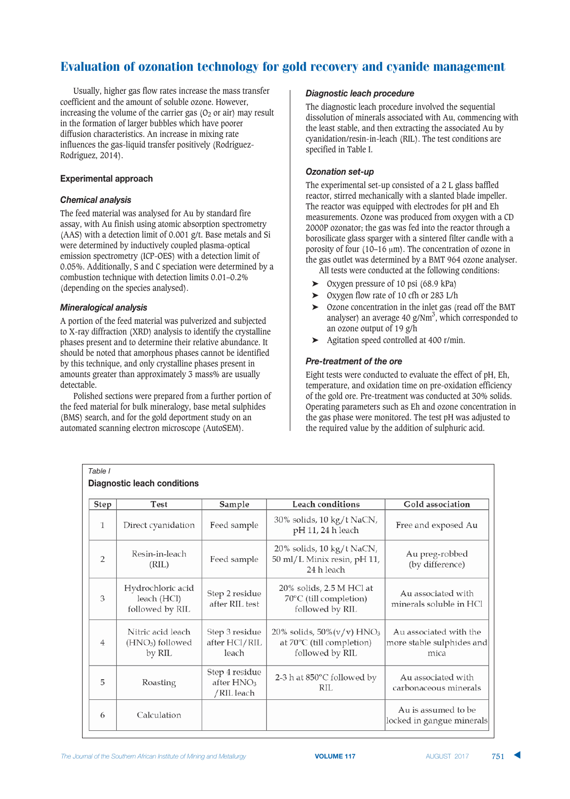Usually, higher gas flow rates increase the mass transfer coefficient and the amount of soluble ozone. However, increasing the volume of the carrier gas  $(0<sub>2</sub>$  or air) may result in the formation of larger bubbles which have poorer diffusion characteristics. An increase in mixing rate influences the gas-liquid transfer positively (Rodríguez-Rodríguez, 2014).

# **Experimental approach**

# **Chemical analysis**

The feed material was analysed for Au by standard fire assay, with Au finish using atomic absorption spectrometry (AAS) with a detection limit of 0.001 g/t. Base metals and Si were determined by inductively coupled plasma-optical emission spectrometry (ICP-OES) with a detection limit of 0.05%. Additionally, S and C speciation were determined by a combustion technique with detection limits 0.01–0.2% (depending on the species analysed).

# **Mineralogical analysis**

A portion of the feed material was pulverized and subjected to X-ray diffraction (XRD) analysis to identify the crystalline phases present and to determine their relative abundance. It should be noted that amorphous phases cannot be identified by this technique, and only crystalline phases present in amounts greater than approximately 3 mass% are usually detectable.

Polished sections were prepared from a further portion of the feed material for bulk mineralogy, base metal sulphides (BMS) search, and for the gold deportment study on an automated scanning electron microscope (AutoSEM).

# *Diagnostic leach procedure*

The diagnostic leach procedure involved the sequential dissolution of minerals associated with Au, commencing with the least stable, and then extracting the associated Au by cyanidation/resin-in-leach (RIL). The test conditions are specified in Table I.

# **Ozonation set-up**

The experimental set-up consisted of a 2 L glass baffled reactor, stirred mechanically with a slanted blade impeller. The reactor was equipped with electrodes for pH and Eh measurements. Ozone was produced from oxygen with a CD 2000P ozonator; the gas was fed into the reactor through a borosilicate glass sparger with a sintered filter candle with a porosity of four (10–16  $\mu$ m). The concentration of ozone in the gas outlet was determined by a BMT 964 ozone analyser.

All tests were conducted at the following conditions:

- ➤ Oxygen pressure of 10 psi (68.9 kPa)
- ➤ Oxygen flow rate of 10 cfh or 283 L/h
- ➤ Ozone concentration in the inlet gas (read off the BMT analyser) an average 40 g/Nm<sup>3</sup>, which corresponded to an ozone output of 19 g/h
- ➤ Agitation speed controlled at 400 r/min.

# *Pre-treatment of the ore*

Eight tests were conducted to evaluate the effect of pH, Eh, temperature, and oxidation time on pre-oxidation efficiency of the gold ore. Pre-treatment was conducted at 30% solids. Operating parameters such as Eh and ozone concentration in the gas phase were monitored. The test pH was adjusted to the required value by the addition of sulphuric acid.

| Step | <b>Test</b>                                                 | Sample                                       | <b>Leach conditions</b>                                                                   | Gold association                                            |  |  |
|------|-------------------------------------------------------------|----------------------------------------------|-------------------------------------------------------------------------------------------|-------------------------------------------------------------|--|--|
| 1    | Direct cyanidation                                          | Feed sample                                  | 30% solids, 10 kg/t NaCN,<br>pH 11, 24 h leach                                            | Free and exposed Au                                         |  |  |
| 2    | Resin-in-leach<br>(RIL)                                     | Feed sample                                  | 20% solids, 10 kg/t NaCN,<br>50 ml/L Minix resin, pH 11,<br>24 h leach                    | Au preg-robbed<br>(by difference)                           |  |  |
| 3    | Hydrochloric acid<br>leach (HCl)<br>followed by RIL         | Step 2 residue<br>after RIL test             | 20% solids, 2.5 M HCl at<br>70°C (till completion)<br>followed by RIL                     | Au associated with<br>minerals soluble in HCl               |  |  |
| 4    | Nitric acid leach<br>(HNO <sub>3</sub> ) followed<br>by RIL | Step 3 residue<br>after HCl/RIL<br>leach     | 20% solids, $50\% (v/v)$ HNO <sub>3</sub><br>at 70°C (till completion)<br>followed by RIL | Au associated with the<br>more stable sulphides and<br>mica |  |  |
| 5    | Roasting                                                    | Step 4 residue<br>after $HNO3$<br>/RIL leach | 2-3 h at $850^{\circ}$ C followed by<br>RIL                                               | Au associated with<br>carbonaceous minerals                 |  |  |
| 6    | Calculation                                                 |                                              |                                                                                           | Au is assumed to be<br>locked in gangue minerals            |  |  |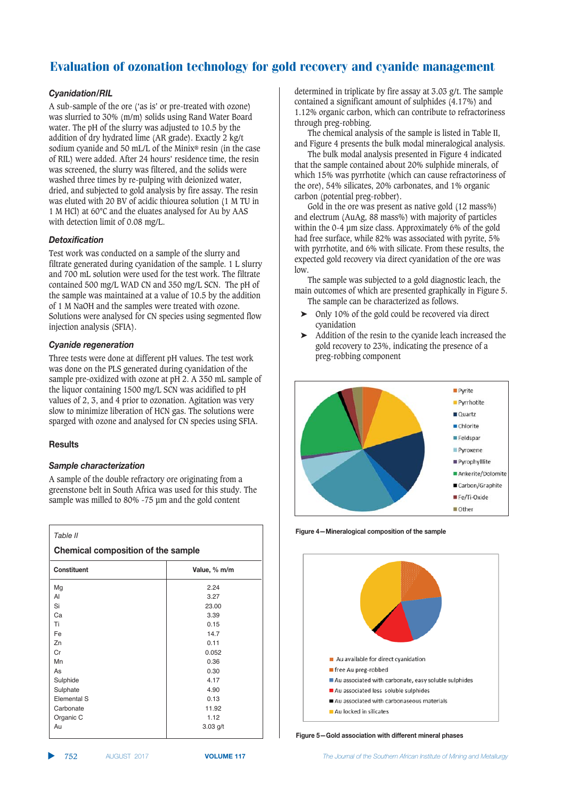# Cyanidation/RIL

A sub-sample of the ore ('as is' or pre-treated with ozone) was slurried to 30% (m/m) solids using Rand Water Board water. The pH of the slurry was adjusted to 10.5 by the addition of dry hydrated lime (AR grade). Exactly 2 kg/t sodium cyanide and 50 mL/L of the Minix® resin (in the case of RIL) were added. After 24 hours' residence time, the resin was screened, the slurry was filtered, and the solids were washed three times by re-pulping with deionized water, dried, and subjected to gold analysis by fire assay. The resin was eluted with 20 BV of acidic thiourea solution (1 M TU in 1 M HCl) at 60°C and the eluates analysed for Au by AAS with detection limit of 0.08 mg/L.

# $Detxification$

Test work was conducted on a sample of the slurry and filtrate generated during cyanidation of the sample. 1 L slurry and 700 mL solution were used for the test work. The filtrate contained 500 mg/L WAD CN and 350 mg/L SCN. The pH of the sample was maintained at a value of 10.5 by the addition of 1 M NaOH and the samples were treated with ozone. Solutions were analysed for CN species using segmented flow injection analysis (SFIA).

#### $C$ *yanide regeneration*

Three tests were done at different pH values. The test work was done on the PLS generated during cyanidation of the sample pre-oxidized with ozone at pH 2. A 350 mL sample of the liquor containing 1500 mg/L SCN was acidified to pH values of 2, 3, and 4 prior to ozonation. Agitation was very slow to minimize liberation of HCN gas. The solutions were sparged with ozone and analysed for CN species using SFIA.

#### **Results**

# $S$ *ample characterization*

A sample of the double refractory ore originating from a greenstone belt in South Africa was used for this study. The sample was milled to 80% -75 μm and the gold content

| Table II<br><b>Chemical composition of the sample</b> |              |  |  |  |  |  |
|-------------------------------------------------------|--------------|--|--|--|--|--|
| <b>Constituent</b>                                    | Value, % m/m |  |  |  |  |  |
| Mg                                                    | 2.24         |  |  |  |  |  |
| AI                                                    | 3.27         |  |  |  |  |  |
| Si                                                    | 23.00        |  |  |  |  |  |
| Ca                                                    | 3.39         |  |  |  |  |  |
| Ti                                                    | 0.15         |  |  |  |  |  |
| Fe                                                    | 14.7         |  |  |  |  |  |
| Zn                                                    | 0.11         |  |  |  |  |  |
| Cr                                                    | 0.052        |  |  |  |  |  |
| Mn                                                    | 0.36         |  |  |  |  |  |
| As                                                    | 0.30         |  |  |  |  |  |
| Sulphide                                              | 4.17         |  |  |  |  |  |
| Sulphate                                              | 4.90         |  |  |  |  |  |
| Elemental S                                           | 0.13         |  |  |  |  |  |
| Carbonate                                             | 11.92        |  |  |  |  |  |
| Organic C                                             | 1.12         |  |  |  |  |  |
| Au                                                    | $3.03$ g/t   |  |  |  |  |  |

determined in triplicate by fire assay at 3.03 g/t. The sample contained a significant amount of sulphides (4.17%) and 1.12% organic carbon, which can contribute to refractoriness through preg-robbing.

The chemical analysis of the sample is listed in Table II, and Figure 4 presents the bulk modal mineralogical analysis.

The bulk modal analysis presented in Figure 4 indicated that the sample contained about 20% sulphide minerals, of which 15% was pyrrhotite (which can cause refractoriness of the ore), 54% silicates, 20% carbonates, and 1% organic carbon (potential preg-robber).

Gold in the ore was present as native gold (12 mass%) and electrum (AuAg, 88 mass%) with majority of particles within the 0-4 um size class. Approximately 6% of the gold had free surface, while 82% was associated with pyrite, 5% with pyrrhotite, and 6% with silicate. From these results, the expected gold recovery via direct cyanidation of the ore was low.

The sample was subjected to a gold diagnostic leach, the main outcomes of which are presented graphically in Figure 5. The sample can be characterized as follows.

- ➤ Only 10% of the gold could be recovered via direct cyanidation
- ➤ Addition of the resin to the cyanide leach increased the gold recovery to 23%, indicating the presence of a preg-robbing component



**Figure 4-Mineralogical composition of the sample** 



**Figure 5-Gold association with different mineral phases** 

▲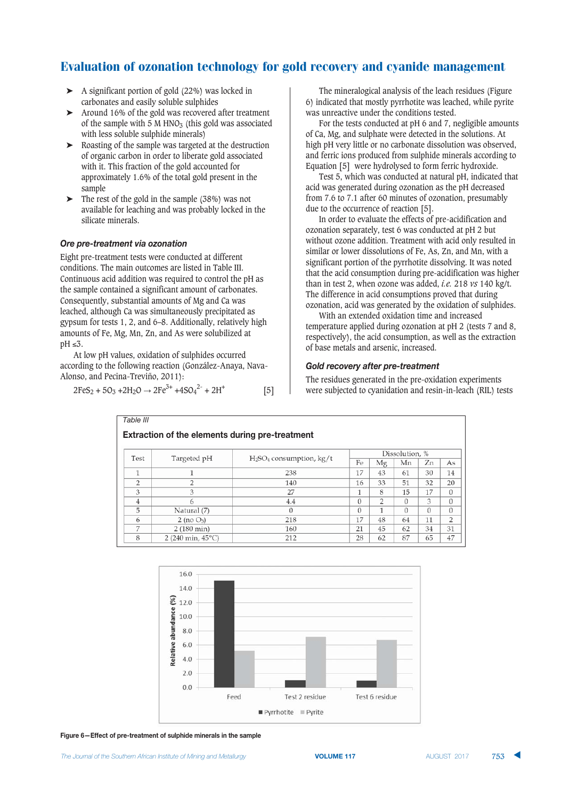- ➤ A significant portion of gold (22%) was locked in carbonates and easily soluble sulphides
- ➤ Around 16% of the gold was recovered after treatment of the sample with  $5 \text{ M HNO}_3$  (this gold was associated with less soluble sulphide minerals)
- ➤ Roasting of the sample was targeted at the destruction of organic carbon in order to liberate gold associated with it. This fraction of the gold accounted for approximately 1.6% of the total gold present in the sample
- ➤ The rest of the gold in the sample (38%) was not available for leaching and was probably locked in the silicate minerals.

#### **Ore pre-treatment via ozonation**

Eight pre-treatment tests were conducted at different conditions. The main outcomes are listed in Table III. Continuous acid addition was required to control the pH as the sample contained a significant amount of carbonates. Consequently, substantial amounts of Mg and Ca was leached, although Ca was simultaneously precipitated as gypsum for tests 1, 2, and 6–8. Additionally, relatively high amounts of Fe, Mg, Mn, Zn, and As were solubilized at  $\text{pH} \leq 3$ .

At low pH values, oxidation of sulphides occurred according to the following reaction (González-Anaya, Nava-Alonso, and Pecina-Treviño, 2011):

$$
2FeS_2 + 5O_3 + 2H_2O \rightarrow 2Fe^{3+} + 4SO_4^{2-} + 2H^+ \tag{5}
$$

The mineralogical analysis of the leach residues (Figure 6) indicated that mostly pyrrhotite was leached, while pyrite was unreactive under the conditions tested.

For the tests conducted at pH 6 and 7, negligible amounts of Ca, Mg, and sulphate were detected in the solutions. At high pH very little or no carbonate dissolution was observed, and ferric ions produced from sulphide minerals according to Equation [5] were hydrolysed to form ferric hydroxide.

Test 5, which was conducted at natural pH, indicated that acid was generated during ozonation as the pH decreased from 7.6 to 7.1 after 60 minutes of ozonation, presumably due to the occurrence of reaction [5].

In order to evaluate the effects of pre-acidification and ozonation separately, test 6 was conducted at pH 2 but without ozone addition. Treatment with acid only resulted in similar or lower dissolutions of Fe, As, Zn, and Mn, with a significant portion of the pyrrhotite dissolving. It was noted that the acid consumption during pre-acidification was higher than in test 2, when ozone was added, *i.e.* 218 *vs* 140 kg/t. The difference in acid consumptions proved that during ozonation, acid was generated by the oxidation of sulphides.

With an extended oxidation time and increased temperature applied during ozonation at pH 2 (tests 7 and 8, respectively), the acid consumption, as well as the extraction of base metals and arsenic, increased.

#### *Eold recovery after pre-treatment*

The residues generated in the pre-oxidation experiments were subjected to cyanidation and resin-in-leach (RIL) tests

| Table III                                              |                             |                           |                |                |          |          |    |  |  |  |  |  |  |
|--------------------------------------------------------|-----------------------------|---------------------------|----------------|----------------|----------|----------|----|--|--|--|--|--|--|
| <b>Extraction of the elements during pre-treatment</b> |                             |                           |                |                |          |          |    |  |  |  |  |  |  |
| Test                                                   | Targeted pH                 | $H2SO4$ consumption, kg/t | Dissolution, % |                |          |          |    |  |  |  |  |  |  |
|                                                        |                             |                           | Fe             | Mg             | Мn       | Zn       | As |  |  |  |  |  |  |
|                                                        |                             | 238                       | 17             | 43             | 61       | 30       | 14 |  |  |  |  |  |  |
| っ                                                      | 2                           | 140                       | 16             | 33             | 51       | 32       | 20 |  |  |  |  |  |  |
| 3                                                      | 3                           | 27                        | 1              | 8              | 15       | 17       | 0  |  |  |  |  |  |  |
|                                                        | 6                           | 4.4                       | $\Omega$       | $\overline{2}$ | $\Omega$ | 3        | 0  |  |  |  |  |  |  |
| 5                                                      | Natural (7)                 | $\cup$                    | $\Omega$       | 1              | $\Omega$ | $\Omega$ | 0  |  |  |  |  |  |  |
| 6                                                      | $2$ (no $O_3$ )             | 218                       | 17             | 48             | 64       | 11       | 2  |  |  |  |  |  |  |
|                                                        | 2 (180 min)                 | 160                       | 21             | 45             | 62       | 34       | 31 |  |  |  |  |  |  |
| 8                                                      | 2 (240 min, $45^{\circ}$ C) | 212                       | 28             | 62             | 87       | 65       | 47 |  |  |  |  |  |  |



Figure 6-Effect of pre-treatment of sulphide minerals in the sample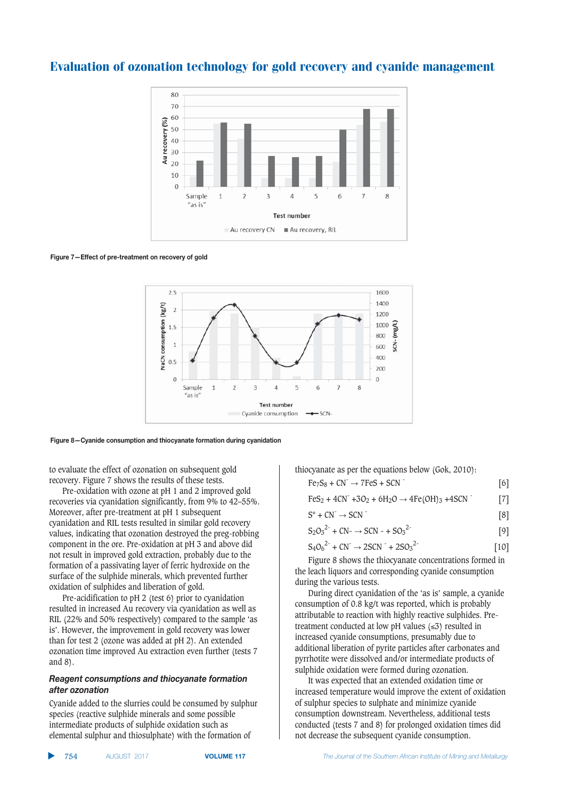

Figure 7-Effect of pre-treatment on recovery of gold



#### Figure 8-Cyanide consumption and thiocyanate formation during cyanidation

to evaluate the effect of ozonation on subsequent gold recovery. Figure 7 shows the results of these tests.

Pre-oxidation with ozone at pH 1 and 2 improved gold recoveries via cyanidation significantly, from 9% to 42–55%. Moreover, after pre-treatment at pH 1 subsequent cyanidation and RIL tests resulted in similar gold recovery values, indicating that ozonation destroyed the preg-robbing component in the ore. Pre-oxidation at pH 3 and above did not result in improved gold extraction, probably due to the formation of a passivating layer of ferric hydroxide on the surface of the sulphide minerals, which prevented further oxidation of sulphides and liberation of gold.

Pre-acidification to pH 2 (test 6) prior to cyanidation resulted in increased Au recovery via cyanidation as well as RIL (22% and 50% respectively) compared to the sample 'as is'. However, the improvement in gold recovery was lower than for test 2 (ozone was added at pH 2). An extended ozonation time improved Au extraction even further (tests 7 and 8).

#### *Reagent consumptions and thiocyanate formation*  $after$  *<u>ozonation</u>*

Cyanide added to the slurries could be consumed by sulphur species (reactive sulphide minerals and some possible intermediate products of sulphide oxidation such as elemental sulphur and thiosulphate) with the formation of

thiocyanate as per the equations below (Gok, 2010):

- $Fe_7S_8 + CN^- \rightarrow 7FeS + SCN$ <sup>-</sup> [6]
- $FeS_2 + 4CN^- +3O_2 + 6H_2O \rightarrow 4Fe(OH)_3 +4SCN$  [7]

$$
S^{\circ} + CN^{-} \rightarrow SCN
$$
 [8]

$$
S_2O_3^{2-} + CN \rightarrow SCN - + SO_3^{2-} \tag{9}
$$

$$
S_4O_6^{2-} + CN^- \rightarrow 2SCN^- + 2SO_3^{2-}
$$
 [10]

Figure 8 shows the thiocyanate concentrations formed in the leach liquors and corresponding cyanide consumption during the various tests.

During direct cyanidation of the 'as is' sample, a cyanide consumption of 0.8 kg/t was reported, which is probably attributable to reaction with highly reactive sulphides. Pretreatment conducted at low pH values  $(\leq 3)$  resulted in increased cyanide consumptions, presumably due to additional liberation of pyrite particles after carbonates and pyrrhotite were dissolved and/or intermediate products of sulphide oxidation were formed during ozonation.

It was expected that an extended oxidation time or increased temperature would improve the extent of oxidation of sulphur species to sulphate and minimize cyanide consumption downstream. Nevertheless, additional tests conducted (tests 7 and 8) for prolonged oxidation times did not decrease the subsequent cyanide consumption.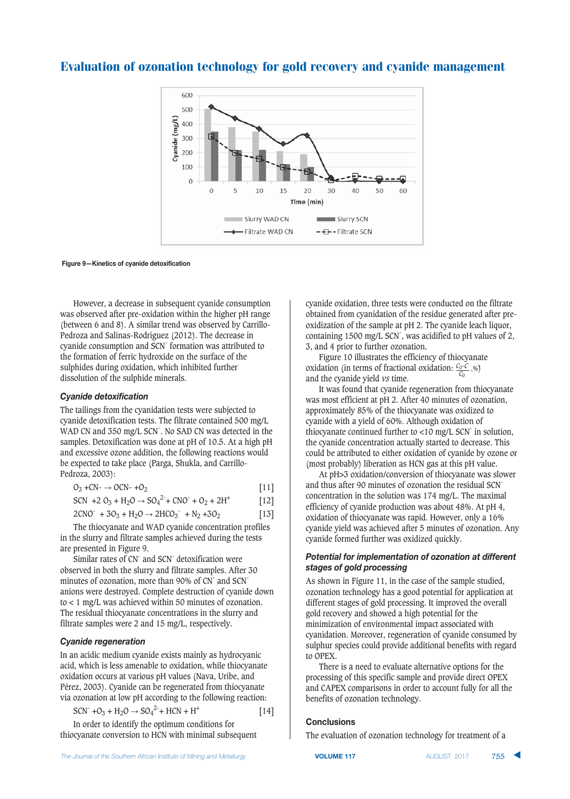

**Figure 9—Kinetics of cyanide detoxification** 

However, a decrease in subsequent cyanide consumption was observed after pre-oxidation within the higher pH range (between 6 and 8). A similar trend was observed by Carrillo-Pedroza and Salinas-Rodríguez (2012). The decrease in cyanide consumption and SCN- formation was attributed to the formation of ferric hydroxide on the surface of the sulphides during oxidation, which inhibited further dissolution of the sulphide minerals.

#### $Cyanide$  *detoxification*

The tailings from the cyanidation tests were subjected to cyanide detoxification tests. The filtrate contained 500 mg/L WAD CN and 350 mg/L SCN. No SAD CN was detected in the samples. Detoxification was done at pH of 10.5. At a high pH and excessive ozone addition, the following reactions would be expected to take place (Parga, Shukla, and Carrillo-Pedroza, 2003):

$$
O_3 + CN^- \rightarrow OCN^- + O_2 \tag{11}
$$

$$
SCN + 2 O_3 + H_2O \rightarrow SO_4^{2-} + CNO^{2} + O_2 + 2H^{+}
$$
 [12]

 $2CNO^+ + 3O_3 + H_2O \rightarrow 2HCO_3^- + N_2 + 3O_2$  [13]

The thiocyanate and WAD cyanide concentration profiles in the slurry and filtrate samples achieved during the tests are presented in Figure 9.

Similar rates of CN<sup>-</sup> and SCN<sup>-</sup> detoxification were observed in both the slurry and filtrate samples. After 30 minutes of ozonation, more than 90% of CN<sup>-</sup> and SCN<sup>-</sup> anions were destroyed. Complete destruction of cyanide down to < 1 mg/L was achieved within 50 minutes of ozonation. The residual thiocyanate concentrations in the slurry and filtrate samples were 2 and 15 mg/L, respectively.

#### $C$ *yanide regeneration*

In an acidic medium cyanide exists mainly as hydrocyanic acid, which is less amenable to oxidation, while thiocyanate oxidation occurs at various pH values (Nava, Uribe, and Pérez, 2003). Cyanide can be regenerated from thiocyanate via ozonation at low pH according to the following reaction:

$$
SCN^{+} + O_3 + H_2O \rightarrow SO_4^{2-} + HCN + H^{+}
$$
 [14]

In order to identify the optimum conditions for thiocyanate conversion to HCN with minimal subsequent cyanide oxidation, three tests were conducted on the filtrate obtained from cyanidation of the residue generated after preoxidization of the sample at pH 2. The cyanide leach liquor, containing 1500 mg/L SCN<sup>-</sup>, was acidified to pH values of 2, 3, and 4 prior to further ozonation.

Figure 10 illustrates the efficiency of thiocyanate oxidation (in terms of fractional oxidation: *C*0-*C* and the cyanide yield *vs* time.  $\frac{C_0-C}{C_0}$ ,%)

It was found that cyanide regeneration from thiocyanate was most efficient at pH 2. After 40 minutes of ozonation, approximately 85% of the thiocyanate was oxidized to cyanide with a yield of 60%. Although oxidation of thiocyanate continued further to  $\langle 10 \text{ mg/L SCN} \rangle$  in solution, the cyanide concentration actually started to decrease. This could be attributed to either oxidation of cyanide by ozone or (most probably) liberation as HCN gas at this pH value.

At pH>3 oxidation/conversion of thiocyanate was slower and thus after 90 minutes of ozonation the residual SCNconcentration in the solution was 174 mg/L. The maximal efficiency of cyanide production was about 48%. At pH 4, oxidation of thiocyanate was rapid. However, only a 16% cyanide yield was achieved after 5 minutes of ozonation. Any cyanide formed further was oxidized quickly.

#### *Potential for implementation of ozonation at different*  $stages of gold processing$

As shown in Figure 11, in the case of the sample studied, ozonation technology has a good potential for application at different stages of gold processing. It improved the overall gold recovery and showed a high potential for the minimization of environmental impact associated with cyanidation. Moreover, regeneration of cyanide consumed by sulphur species could provide additional benefits with regard to OPEX.

There is a need to evaluate alternative options for the processing of this specific sample and provide direct OPEX and CAPEX comparisons in order to account fully for all the benefits of ozonation technology.

#### **Conclusions**

The evaluation of ozonation technology for treatment of a